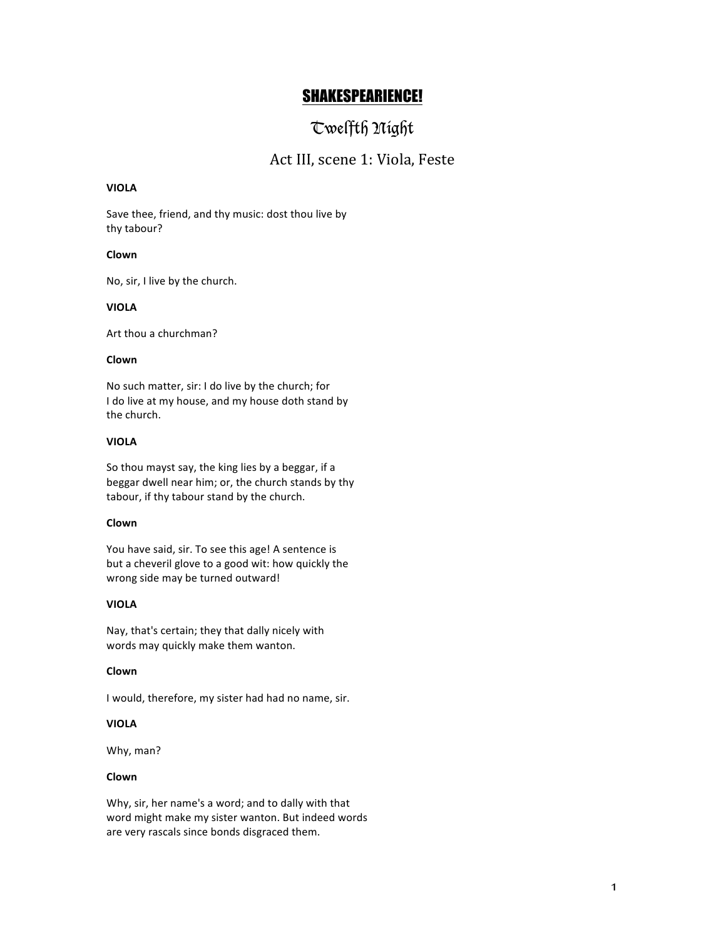## SHAKESPEARIENCE!

# Twelfth Night

### Act III, scene 1: Viola, Feste

#### **VIOLA**

Save thee, friend, and thy music: dost thou live by thy tabour?

#### **Clown**

No, sir, I live by the church.

#### **VIOLA**

Art thou a churchman?

#### **Clown**

No such matter, sir: I do live by the church; for I do live at my house, and my house doth stand by the church.

#### **VIOLA**

So thou mayst say, the king lies by a beggar, if a beggar dwell near him; or, the church stands by thy tabour, if thy tabour stand by the church.

#### **Clown**

You have said, sir. To see this age! A sentence is but a cheveril glove to a good wit: how quickly the wrong side may be turned outward!

#### **VIOLA**

Nay, that's certain; they that dally nicely with words may quickly make them wanton.

#### **Clown**

I would, therefore, my sister had had no name, sir.

#### **VIOLA**

Why, man?

#### **Clown**

Why, sir, her name's a word; and to dally with that word might make my sister wanton. But indeed words are very rascals since bonds disgraced them.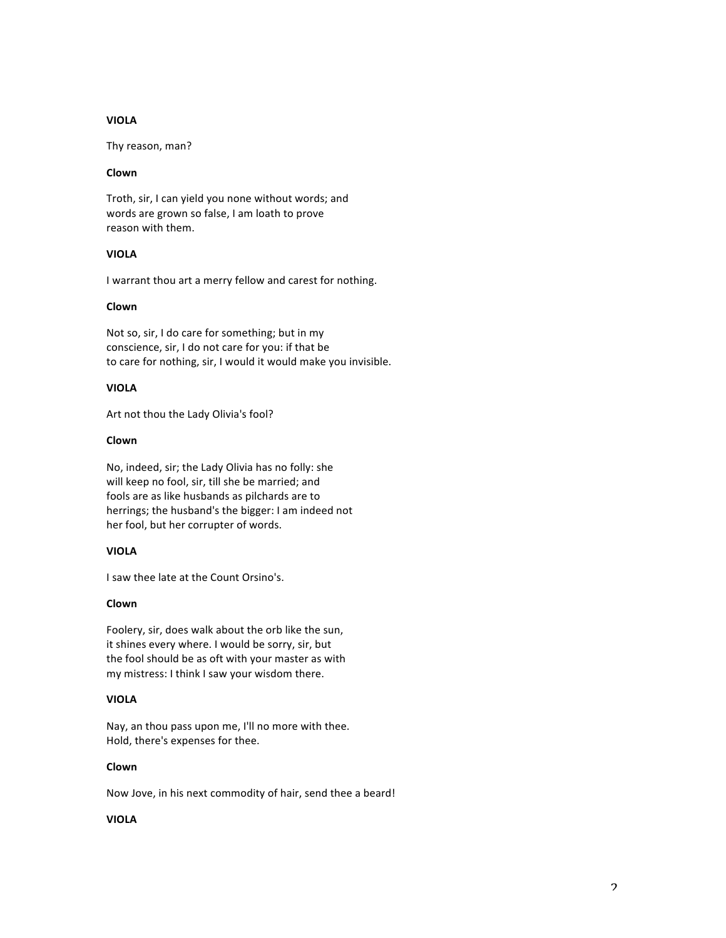#### **VIOLA**

Thy reason, man?

#### **Clown**

Troth, sir, I can yield you none without words; and words are grown so false, I am loath to prove reason with them.

#### **VIOLA**

I warrant thou art a merry fellow and carest for nothing.

#### **Clown**

Not so, sir, I do care for something; but in my conscience, sir, I do not care for you: if that be to care for nothing, sir, I would it would make you invisible.

#### **VIOLA**

Art not thou the Lady Olivia's fool?

#### **Clown**

No, indeed, sir; the Lady Olivia has no folly: she will keep no fool, sir, till she be married; and fools are as like husbands as pilchards are to herrings; the husband's the bigger: I am indeed not her fool, but her corrupter of words.

#### **VIOLA**

I saw thee late at the Count Orsino's.

#### **Clown**

Foolery, sir, does walk about the orb like the sun, it shines every where. I would be sorry, sir, but the fool should be as oft with your master as with my mistress: I think I saw your wisdom there.

#### **VIOLA**

Nay, an thou pass upon me, I'll no more with thee. Hold, there's expenses for thee.

#### **Clown**

Now Jove, in his next commodity of hair, send thee a beard!

#### **VIOLA**